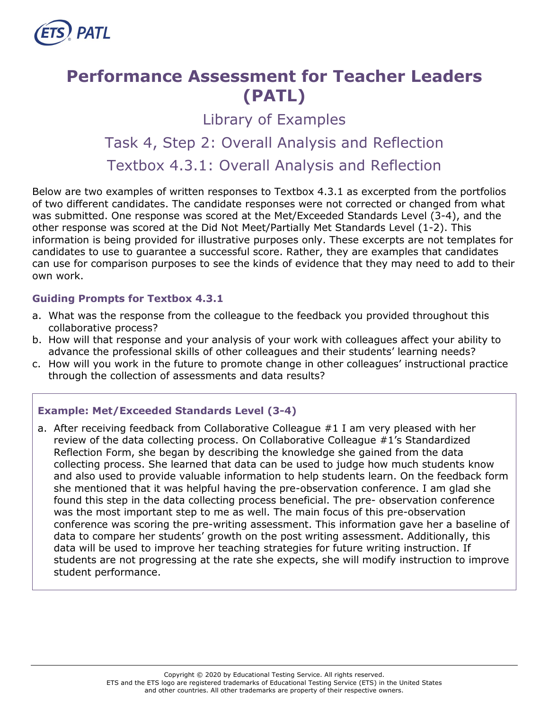

# **Performance Assessment for Teacher Leaders (PATL)**

Library of Examples

# Task 4, Step 2: Overall Analysis and Reflection Textbox 4.3.1: Overall Analysis and Reflection

Below are two examples of written responses to Textbox 4.3.1 as excerpted from the portfolios of two different candidates. The candidate responses were not corrected or changed from what was submitted. One response was scored at the Met/Exceeded Standards Level (3-4), and the other response was scored at the Did Not Meet/Partially Met Standards Level (1-2). This information is being provided for illustrative purposes only. These excerpts are not templates for candidates to use to guarantee a successful score. Rather, they are examples that candidates can use for comparison purposes to see the kinds of evidence that they may need to add to their own work.

### **Guiding Prompts for Textbox 4.3.1**

- a. What was the response from the colleague to the feedback you provided throughout this collaborative process?
- b. How will that response and your analysis of your work with colleagues affect your ability to advance the professional skills of other colleagues and their students' learning needs?
- c. How will you work in the future to promote change in other colleagues' instructional practice through the collection of assessments and data results?

# **Example: Met/Exceeded Standards Level (3-4)**

a. After receiving feedback from Collaborative Colleague #1 I am very pleased with her review of the data collecting process. On Collaborative Colleague #1's Standardized Reflection Form, she began by describing the knowledge she gained from the data collecting process. She learned that data can be used to judge how much students know and also used to provide valuable information to help students learn. On the feedback form she mentioned that it was helpful having the pre-observation conference. I am glad she found this step in the data collecting process beneficial. The pre- observation conference was the most important step to me as well. The main focus of this pre-observation conference was scoring the pre-writing assessment. This information gave her a baseline of data to compare her students' growth on the post writing assessment. Additionally, this data will be used to improve her teaching strategies for future writing instruction. If students are not progressing at the rate she expects, she will modify instruction to improve student performance.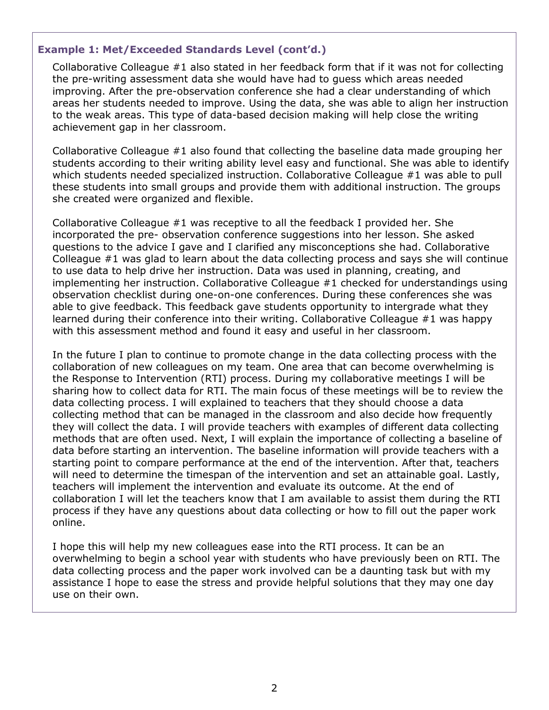#### **Example 1: Met/Exceeded Standards Level (cont'd.)**

Collaborative Colleague #1 also stated in her feedback form that if it was not for collecting the pre-writing assessment data she would have had to guess which areas needed improving. After the pre-observation conference she had a clear understanding of which areas her students needed to improve. Using the data, she was able to align her instruction to the weak areas. This type of data-based decision making will help close the writing achievement gap in her classroom.

Collaborative Colleague #1 also found that collecting the baseline data made grouping her students according to their writing ability level easy and functional. She was able to identify which students needed specialized instruction. Collaborative Colleague #1 was able to pull these students into small groups and provide them with additional instruction. The groups she created were organized and flexible.

Collaborative Colleague #1 was receptive to all the feedback I provided her. She incorporated the pre- observation conference suggestions into her lesson. She asked questions to the advice I gave and I clarified any misconceptions she had. Collaborative Colleague #1 was glad to learn about the data collecting process and says she will continue to use data to help drive her instruction. Data was used in planning, creating, and implementing her instruction. Collaborative Colleague #1 checked for understandings using observation checklist during one-on-one conferences. During these conferences she was able to give feedback. This feedback gave students opportunity to intergrade what they learned during their conference into their writing. Collaborative Colleague #1 was happy with this assessment method and found it easy and useful in her classroom.

In the future I plan to continue to promote change in the data collecting process with the collaboration of new colleagues on my team. One area that can become overwhelming is the Response to Intervention (RTI) process. During my collaborative meetings I will be sharing how to collect data for RTI. The main focus of these meetings will be to review the data collecting process. I will explained to teachers that they should choose a data collecting method that can be managed in the classroom and also decide how frequently they will collect the data. I will provide teachers with examples of different data collecting methods that are often used. Next, I will explain the importance of collecting a baseline of data before starting an intervention. The baseline information will provide teachers with a starting point to compare performance at the end of the intervention. After that, teachers will need to determine the timespan of the intervention and set an attainable goal. Lastly, teachers will implement the intervention and evaluate its outcome. At the end of collaboration I will let the teachers know that I am available to assist them during the RTI process if they have any questions about data collecting or how to fill out the paper work online.

I hope this will help my new colleagues ease into the RTI process. It can be an overwhelming to begin a school year with students who have previously been on RTI. The data collecting process and the paper work involved can be a daunting task but with my assistance I hope to ease the stress and provide helpful solutions that they may one day use on their own.